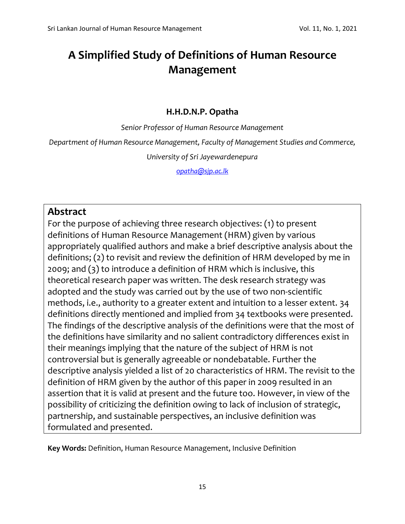# **A Simplified Study of Definitions of Human Resource Management**

## **H.H.D.N.P. Opatha**

*Senior Professor of Human Resource Management*

*Department of Human Resource Management, Faculty of Management Studies and Commerce,*

*University of Sri Jayewardenepura*

*[opatha@sjp.ac.lk](mailto:opatha@sjp.ac.lk)*

# **Abstract**

For the purpose of achieving three research objectives: (1) to present definitions of Human Resource Management (HRM) given by various appropriately qualified authors and make a brief descriptive analysis about the definitions; (2) to revisit and review the definition of HRM developed by me in 2009; and (3) to introduce a definition of HRM which is inclusive, this theoretical research paper was written. The desk research strategy was adopted and the study was carried out by the use of two non-scientific methods, i.e., authority to a greater extent and intuition to a lesser extent. 34 definitions directly mentioned and implied from 34 textbooks were presented. The findings of the descriptive analysis of the definitions were that the most of the definitions have similarity and no salient contradictory differences exist in their meanings implying that the nature of the subject of HRM is not controversial but is generally agreeable or nondebatable. Further the descriptive analysis yielded a list of 20 characteristics of HRM. The revisit to the definition of HRM given by the author of this paper in 2009 resulted in an assertion that it is valid at present and the future too. However, in view of the possibility of criticizing the definition owing to lack of inclusion of strategic, partnership, and sustainable perspectives, an inclusive definition was formulated and presented.

**Key Words:** Definition, Human Resource Management, Inclusive Definition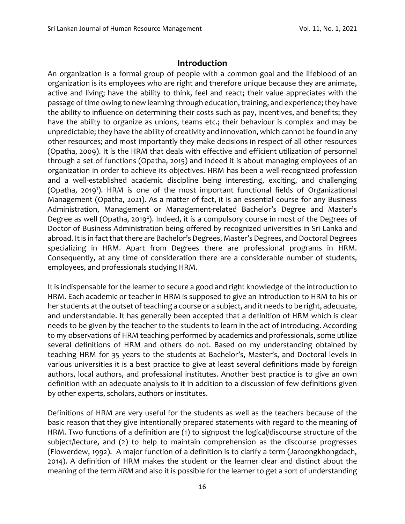## **Introduction**

An organization is a formal group of people with a common goal and the lifeblood of an organization is its employees who are right and therefore unique because they are animate, active and living; have the ability to think, feel and react; their value appreciates with the passage of time owing to new learning through education, training, and experience; they have the ability to influence on determining their costs such as pay, incentives, and benefits; they have the ability to organize as unions, teams etc.; their behaviour is complex and may be unpredictable; they have the ability of creativity and innovation, which cannot be found in any other resources; and most importantly they make decisions in respect of all other resources (Opatha, 2009). It is the HRM that deals with effective and efficient utilization of personnel through a set of functions (Opatha, 2015) and indeed it is about managing employees of an organization in order to achieve its objectives. HRM has been a well-recognized profession and a well-established academic discipline being interesting, exciting, and challenging (Opatha, 2019<sup>1</sup>). HRM is one of the most important functional fields of Organizational Management (Opatha, 2021). As a matter of fact, it is an essential course for any Business Administration, Management or Management-related Bachelor's Degree and Master's Degree as well (Opatha, 2019<sup>2</sup>). Indeed, it is a compulsory course in most of the Degrees of Doctor of Business Administration being offered by recognized universities in Sri Lanka and abroad. It is in fact that there are Bachelor's Degrees, Master's Degrees, and Doctoral Degrees specializing in HRM. Apart from Degrees there are professional programs in HRM. Consequently, at any time of consideration there are a considerable number of students, employees, and professionals studying HRM.

It is indispensable for the learner to secure a good and right knowledge of the introduction to HRM. Each academic or teacher in HRM is supposed to give an introduction to HRM to his or her students at the outset of teaching a course or a subject, and it needs to be right, adequate, and understandable. It has generally been accepted that a definition of HRM which is clear needs to be given by the teacher to the students to learn in the act of introducing. According to my observations of HRM teaching performed by academics and professionals, some utilize several definitions of HRM and others do not. Based on my understanding obtained by teaching HRM for 35 years to the students at Bachelor's, Master's, and Doctoral levels in various universities it is a best practice to give at least several definitions made by foreign authors, local authors, and professional institutes. Another best practice is to give an own definition with an adequate analysis to it in addition to a discussion of few definitions given by other experts, scholars, authors or institutes.

Definitions of HRM are very useful for the students as well as the teachers because of the basic reason that they give intentionally prepared statements with regard to the meaning of HRM. Two functions of a definition are (1) to signpost the logical/discourse structure of the subject/lecture, and (2) to help to maintain comprehension as the discourse progresses (Flowerdew, 1992). A major function of a definition is to clarify a term (Jaroongkhongdach, 2014). A definition of HRM makes the student or the learner clear and distinct about the meaning of the term *HRM* and also it is possible for the learner to get a sort of understanding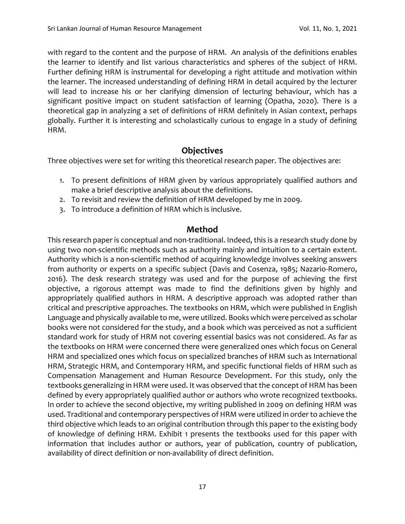with regard to the content and the purpose of HRM. An analysis of the definitions enables the learner to identify and list various characteristics and spheres of the subject of HRM. Further defining HRM is instrumental for developing a right attitude and motivation within the learner. The increased understanding of defining HRM in detail acquired by the lecturer will lead to increase his or her clarifying dimension of lecturing behaviour, which has a significant positive impact on student satisfaction of learning (Opatha, 2020). There is a theoretical gap in analyzing a set of definitions of HRM definitely in Asian context, perhaps globally. Further it is interesting and scholastically curious to engage in a study of defining HRM.

# **Objectives**

Three objectives were set for writing this theoretical research paper. The objectives are:

- 1. To present definitions of HRM given by various appropriately qualified authors and make a brief descriptive analysis about the definitions.
- 2. To revisit and review the definition of HRM developed by me in 2009.
- 3. To introduce a definition of HRM which is inclusive.

# **Method**

This research paper is conceptual and non-traditional. Indeed, this is a research study done by using two non-scientific methods such as authority mainly and intuition to a certain extent. Authority which is a non-scientific method of acquiring knowledge involves seeking answers from authority or experts on a specific subject (Davis and Cosenza, 1985; Nazario-Romero, 2016). The desk research strategy was used and for the purpose of achieving the first objective, a rigorous attempt was made to find the definitions given by highly and appropriately qualified authors in HRM. A descriptive approach was adopted rather than critical and prescriptive approaches. The textbooks on HRM, which were published in English Language and physically available to me, were utilized. Books which were perceived as scholar books were not considered for the study, and a book which was perceived as not a sufficient standard work for study of HRM not covering essential basics was not considered. As far as the textbooks on HRM were concerned there were generalized ones which focus on General HRM and specialized ones which focus on specialized branches of HRM such as International HRM, Strategic HRM, and Contemporary HRM, and specific functional fields of HRM such as Compensation Management and Human Resource Development. For this study, only the textbooks generalizing in HRM were used. It was observed that the concept of HRM has been defined by every appropriately qualified author or authors who wrote recognized textbooks. In order to achieve the second objective, my writing published in 2009 on defining HRM was used. Traditional and contemporary perspectives of HRM were utilized in order to achieve the third objective which leads to an original contribution through this paper to the existing body of knowledge of defining HRM. Exhibit 1 presents the textbooks used for this paper with information that includes author or authors, year of publication, country of publication, availability of direct definition or non-availability of direct definition.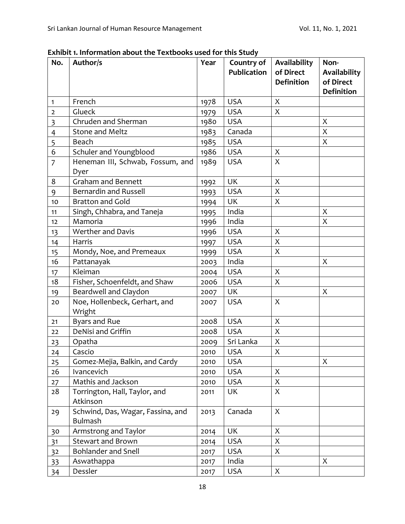|                         | EXHIDIL I. IIIIOHIIIAUOH ADOUL UIE TEXUDOONS USEU TOI THIS SUUDY |      |                                  |                                                |                                                        |
|-------------------------|------------------------------------------------------------------|------|----------------------------------|------------------------------------------------|--------------------------------------------------------|
| No.                     | Author/s                                                         | Year | Country of<br><b>Publication</b> | Availability<br>of Direct<br><b>Definition</b> | Non-<br>Availability<br>of Direct<br><b>Definition</b> |
| $\mathbf{1}$            | French                                                           | 1978 | <b>USA</b>                       | X                                              |                                                        |
| $\mathbf 2$             | Glueck                                                           | 1979 | <b>USA</b>                       | X                                              |                                                        |
| $\overline{\mathbf{3}}$ | Chruden and Sherman                                              | 1980 | <b>USA</b>                       |                                                | X                                                      |
| $\overline{4}$          | <b>Stone and Meltz</b>                                           | 1983 | Canada                           |                                                | X                                                      |
| 5                       | Beach                                                            | 1985 | <b>USA</b>                       |                                                | X                                                      |
| 6                       | Schuler and Youngblood                                           | 1986 | <b>USA</b>                       | X                                              |                                                        |
| $\overline{7}$          | Heneman III, Schwab, Fossum, and<br>Dyer                         | 1989 | <b>USA</b>                       | X                                              |                                                        |
| 8                       | <b>Graham and Bennett</b>                                        | 1992 | <b>UK</b>                        | X                                              |                                                        |
| 9                       | <b>Bernardin and Russell</b>                                     | 1993 | <b>USA</b>                       | $\mathsf{X}% _{0}$                             |                                                        |
| $10$                    | <b>Bratton and Gold</b>                                          | 1994 | UK                               | X                                              |                                                        |
| 11                      | Singh, Chhabra, and Taneja                                       | 1995 | India                            |                                                | X                                                      |
| 12                      | Mamoria                                                          | 1996 | India                            |                                                | X                                                      |
| 13                      | Werther and Davis                                                | 1996 | <b>USA</b>                       | $\boldsymbol{\mathsf{X}}$                      |                                                        |
| 14                      | Harris                                                           | 1997 | <b>USA</b>                       | X                                              |                                                        |
| 15                      | Mondy, Noe, and Premeaux                                         | 1999 | <b>USA</b>                       | X                                              |                                                        |
| 16                      | Pattanayak                                                       | 2003 | India                            |                                                | X                                                      |
| 17                      | Kleiman                                                          | 2004 | <b>USA</b>                       | X                                              |                                                        |
| 18                      | Fisher, Schoenfeldt, and Shaw                                    | 2006 | <b>USA</b>                       | X                                              |                                                        |
| 19                      | Beardwell and Claydon                                            | 2007 | UK                               |                                                | X                                                      |
| 20                      | Noe, Hollenbeck, Gerhart, and<br>Wright                          | 2007 | <b>USA</b>                       | X                                              |                                                        |
| 21                      | Byars and Rue                                                    | 2008 | <b>USA</b>                       | X                                              |                                                        |
| 22                      | DeNisi and Griffin                                               | 2008 | <b>USA</b>                       | $\mathsf{X}$                                   |                                                        |
| 23                      | Opatha                                                           | 2009 | Sri Lanka                        | $\mathsf X$                                    |                                                        |
| 24                      | Cascio                                                           | 2010 | <b>USA</b>                       | $\mathsf{X}$                                   |                                                        |
| 25                      | Gomez-Mejia, Balkin, and Cardy                                   | 2010 | <b>USA</b>                       |                                                | X                                                      |
| 26                      | Ivancevich                                                       | 2010 | <b>USA</b>                       | X                                              |                                                        |
| 27                      | Mathis and Jackson                                               | 2010 | <b>USA</b>                       | X                                              |                                                        |
| 28                      | Torrington, Hall, Taylor, and<br>Atkinson                        | 2011 | UK                               | X                                              |                                                        |
| 29                      | Schwind, Das, Wagar, Fassina, and<br>Bulmash                     | 2013 | Canada                           | X                                              |                                                        |
| 30                      | Armstrong and Taylor                                             | 2014 | UK                               | X                                              |                                                        |
| 31                      | <b>Stewart and Brown</b>                                         | 2014 | <b>USA</b>                       | X                                              |                                                        |
| 32                      | <b>Bohlander and Snell</b>                                       | 2017 | <b>USA</b>                       | X                                              |                                                        |

**Exhibit 1. Information about the Textbooks used for this Study**

33 Aswathappa 2017 India X<br>34 Dessler 2017 USA X

34 Dessler 2017 USA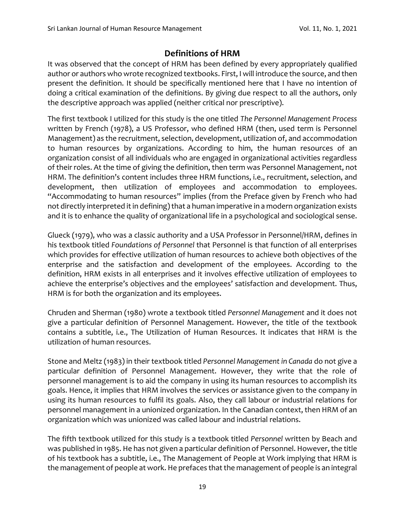# **Definitions of HRM**

It was observed that the concept of HRM has been defined by every appropriately qualified author or authors who wrote recognized textbooks. First, I will introduce the source, and then present the definition. It should be specifically mentioned here that I have no intention of doing a critical examination of the definitions. By giving due respect to all the authors, only the descriptive approach was applied (neither critical nor prescriptive).

The first textbook I utilized for this study is the one titled *The Personnel Management Process* written by French (1978), a US Professor, who defined HRM (then, used term is Personnel Management) as the recruitment, selection, development, utilization of, and accommodation to human resources by organizations. According to him, the human resources of an organization consist of all individuals who are engaged in organizational activities regardless of their roles. At the time of giving the definition, then term was Personnel Management, not HRM. The definition's content includes three HRM functions, i.e., recruitment, selection, and development, then utilization of employees and accommodation to employees. "Accommodating to human resources" implies (from the Preface given by French who had not directly interpreted it in defining) that a human imperative in a modern organization exists and it is to enhance the quality of organizational life in a psychological and sociological sense.

Glueck (1979), who was a classic authority and a USA Professor in Personnel/HRM, defines in his textbook titled *Foundations of Personnel* that Personnel is that function of all enterprises which provides for effective utilization of human resources to achieve both objectives of the enterprise and the satisfaction and development of the employees. According to the definition, HRM exists in all enterprises and it involves effective utilization of employees to achieve the enterprise's objectives and the employees' satisfaction and development. Thus, HRM is for both the organization and its employees.

Chruden and Sherman (1980) wrote a textbook titled *Personnel Management* and it does not give a particular definition of Personnel Management. However, the title of the textbook contains a subtitle, i.e., The Utilization of Human Resources. It indicates that HRM is the utilization of human resources.

Stone and Meltz (1983) in their textbook titled *Personnel Management in Canada* do not give a particular definition of Personnel Management. However, they write that the role of personnel management is to aid the company in using its human resources to accomplish its goals. Hence, it implies that HRM involves the services or assistance given to the company in using its human resources to fulfil its goals. Also, they call labour or industrial relations for personnel management in a unionized organization. In the Canadian context, then HRM of an organization which was unionized was called labour and industrial relations.

The fifth textbook utilized for this study is a textbook titled *Personnel* written by Beach and was published in 1985. He has not given a particular definition of Personnel. However, the title of his textbook has a subtitle, i.e., The Management of People at Work implying that HRM is the management of people at work. He prefaces that the management of people is an integral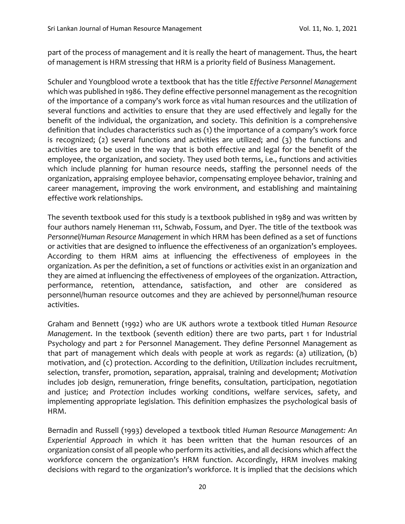part of the process of management and it is really the heart of management. Thus, the heart of management is HRM stressing that HRM is a priority field of Business Management.

Schuler and Youngblood wrote a textbook that has the title *Effective Personnel Management* which was published in 1986. They define effective personnel management as the recognition of the importance of a company's work force as vital human resources and the utilization of several functions and activities to ensure that they are used effectively and legally for the benefit of the individual, the organization, and society. This definition is a comprehensive definition that includes characteristics such as (1) the importance of a company's work force is recognized; (2) several functions and activities are utilized; and (3) the functions and activities are to be used in the way that is both effective and legal for the benefit of the employee, the organization, and society. They used both terms, i.e., functions and activities which include planning for human resource needs, staffing the personnel needs of the organization, appraising employee behavior, compensating employee behavior, training and career management, improving the work environment, and establishing and maintaining effective work relationships.

The seventh textbook used for this study is a textbook published in 1989 and was written by four authors namely Heneman 111, Schwab, Fossum, and Dyer. The title of the textbook was *Personnel/Human Resource Management* in which HRM has been defined as a set of functions or activities that are designed to influence the effectiveness of an organization's employees. According to them HRM aims at influencing the effectiveness of employees in the organization. As per the definition, a set of functions or activities exist in an organization and they are aimed at influencing the effectiveness of employees of the organization. Attraction, performance, retention, attendance, satisfaction, and other are considered as personnel/human resource outcomes and they are achieved by personnel/human resource activities.

Graham and Bennett (1992) who are UK authors wrote a textbook titled *Human Resource Management*. In the textbook (seventh edition) there are two parts, part 1 for Industrial Psychology and part 2 for Personnel Management. They define Personnel Management as that part of management which deals with people at work as regards: (a) utilization, (b) motivation, and (c) protection. According to the definition, *Utilization* includes recruitment, selection, transfer, promotion, separation, appraisal, training and development; *Motivation* includes job design, remuneration, fringe benefits, consultation, participation, negotiation and justice; and *Protection* includes working conditions, welfare services, safety, and implementing appropriate legislation. This definition emphasizes the psychological basis of HRM.

Bernadin and Russell (1993) developed a textbook titled *Human Resource Management: An Experiential Approach* in which it has been written that the human resources of an organization consist of all people who perform its activities, and all decisions which affect the workforce concern the organization's HRM function. Accordingly, HRM involves making decisions with regard to the organization's workforce. It is implied that the decisions which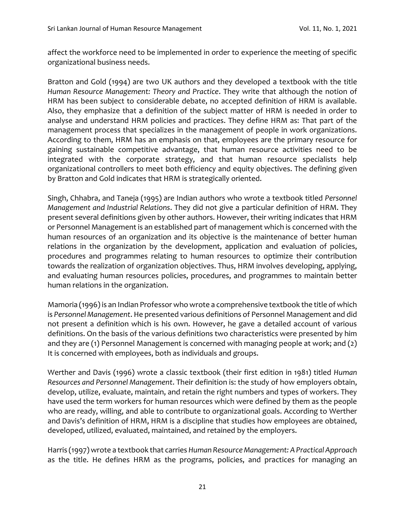affect the workforce need to be implemented in order to experience the meeting of specific organizational business needs.

Bratton and Gold (1994) are two UK authors and they developed a textbook with the title *Human Resource Management: Theory and Practice*. They write that although the notion of HRM has been subject to considerable debate, no accepted definition of HRM is available. Also, they emphasize that a definition of the subject matter of HRM is needed in order to analyse and understand HRM policies and practices. They define HRM as: That part of the management process that specializes in the management of people in work organizations. According to them, HRM has an emphasis on that, employees are the primary resource for gaining sustainable competitive advantage, that human resource activities need to be integrated with the corporate strategy, and that human resource specialists help organizational controllers to meet both efficiency and equity objectives. The defining given by Bratton and Gold indicates that HRM is strategically oriented.

Singh, Chhabra, and Taneja (1995) are Indian authors who wrote a textbook titled *Personnel Management and Industrial Relations*. They did not give a particular definition of HRM. They present several definitions given by other authors. However, their writing indicates that HRM or Personnel Management is an established part of management which is concerned with the human resources of an organization and its objective is the maintenance of better human relations in the organization by the development, application and evaluation of policies, procedures and programmes relating to human resources to optimize their contribution towards the realization of organization objectives. Thus, HRM involves developing, applying, and evaluating human resources policies, procedures, and programmes to maintain better human relations in the organization.

Mamoria (1996) is an Indian Professor who wrote a comprehensive textbook the title of which is *Personnel Management*. He presented various definitions of Personnel Management and did not present a definition which is his own. However, he gave a detailed account of various definitions. On the basis of the various definitions two characteristics were presented by him and they are (1) Personnel Management is concerned with managing people at work; and (2) It is concerned with employees, both as individuals and groups.

Werther and Davis (1996) wrote a classic textbook (their first edition in 1981) titled *Human Resources and Personnel Management*. Their definition is: the study of how employers obtain, develop, utilize, evaluate, maintain, and retain the right numbers and types of workers. They have used the term workers for human resources which were defined by them as the people who are ready, willing, and able to contribute to organizational goals. According to Werther and Davis's definition of HRM, HRM is a discipline that studies how employees are obtained, developed, utilized, evaluated, maintained, and retained by the employers.

Harris (1997) wrote a textbook that carries *Human Resource Management: A Practical Approach*  as the title. He defines HRM as the programs, policies, and practices for managing an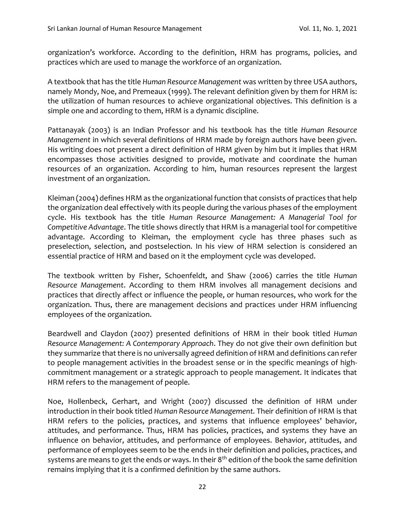organization's workforce. According to the definition, HRM has programs, policies, and practices which are used to manage the workforce of an organization.

A textbook that has the title *Human Resource Management* was written by three USA authors, namely Mondy, Noe, and Premeaux (1999). The relevant definition given by them for HRM is: the utilization of human resources to achieve organizational objectives. This definition is a simple one and according to them, HRM is a dynamic discipline.

Pattanayak (2003) is an Indian Professor and his textbook has the title *Human Resource Management* in which several definitions of HRM made by foreign authors have been given. His writing does not present a direct definition of HRM given by him but it implies that HRM encompasses those activities designed to provide, motivate and coordinate the human resources of an organization. According to him, human resources represent the largest investment of an organization.

Kleiman (2004) defines HRM as the organizational function that consists of practices that help the organization deal effectively with its people during the various phases of the employment cycle. His textbook has the title *Human Resource Management: A Managerial Tool for Competitive Advantage*. The title shows directly that HRM is a managerial tool for competitive advantage. According to Kleiman, the employment cycle has three phases such as preselection, selection, and postselection. In his view of HRM selection is considered an essential practice of HRM and based on it the employment cycle was developed.

The textbook written by Fisher, Schoenfeldt, and Shaw (2006) carries the title *Human Resource Management*. According to them HRM involves all management decisions and practices that directly affect or influence the people, or human resources, who work for the organization. Thus, there are management decisions and practices under HRM influencing employees of the organization.

Beardwell and Claydon (2007) presented definitions of HRM in their book titled *Human Resource Management: A Contemporary Approach*. They do not give their own definition but they summarize that there is no universally agreed definition of HRM and definitions can refer to people management activities in the broadest sense or in the specific meanings of highcommitment management or a strategic approach to people management. It indicates that HRM refers to the management of people.

Noe, Hollenbeck, Gerhart, and Wright (2007) discussed the definition of HRM under introduction in their book titled *Human Resource Management.* Their definition of HRM is that HRM refers to the policies, practices, and systems that influence employees' behavior, attitudes, and performance. Thus, HRM has policies, practices, and systems they have an influence on behavior, attitudes, and performance of employees. Behavior, attitudes, and performance of employees seem to be the ends in their definition and policies, practices, and systems are means to get the ends or ways. In their  $8<sup>th</sup>$  edition of the book the same definition remains implying that it is a confirmed definition by the same authors.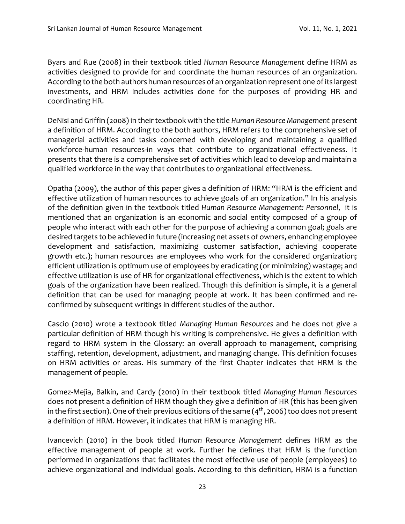Byars and Rue (2008) in their textbook titled *Human Resource Management* define HRM as activities designed to provide for and coordinate the human resources of an organization. According to the both authors human resources of an organization represent one of its largest investments, and HRM includes activities done for the purposes of providing HR and coordinating HR.

DeNisi and Griffin (2008) in their textbook with the title *Human Resource Management* present a definition of HRM. According to the both authors, HRM refers to the comprehensive set of managerial activities and tasks concerned with developing and maintaining a qualified workforce-human resources-in ways that contribute to organizational effectiveness. It presents that there is a comprehensive set of activities which lead to develop and maintain a qualified workforce in the way that contributes to organizational effectiveness.

Opatha (2009), the author of this paper gives a definition of HRM: "HRM is the efficient and effective utilization of human resources to achieve goals of an organization." In his analysis of the definition given in the textbook titled *Human Resource Management: Personnel*, it is mentioned that an organization is an economic and social entity composed of a group of people who interact with each other for the purpose of achieving a common goal; goals are desired targets to be achieved in future (increasing net assets of owners, enhancing employee development and satisfaction, maximizing customer satisfaction, achieving cooperate growth etc.); human resources are employees who work for the considered organization; efficient utilization is optimum use of employees by eradicating (or minimizing) wastage; and effective utilization is use of HR for organizational effectiveness, which is the extent to which goals of the organization have been realized. Though this definition is simple, it is a general definition that can be used for managing people at work. It has been confirmed and reconfirmed by subsequent writings in different studies of the author.

Cascio (2010) wrote a textbook titled *Managing Human Resources* and he does not give a particular definition of HRM though his writing is comprehensive. He gives a definition with regard to HRM system in the Glossary: an overall approach to management, comprising staffing, retention, development, adjustment, and managing change. This definition focuses on HRM activities or areas. His summary of the first Chapter indicates that HRM is the management of people.

Gomez-Mejia, Balkin, and Cardy (2010) in their textbook titled *Managing Human Resources* does not present a definition of HRM though they give a definition of HR (this has been given in the first section). One of their previous editions of the same  $(4<sup>th</sup>, 2006)$  too does not present a definition of HRM. However, it indicates that HRM is managing HR.

Ivancevich (2010) in the book titled *Human Resource Management* defines HRM as the effective management of people at work. Further he defines that HRM is the function performed in organizations that facilitates the most effective use of people (employees) to achieve organizational and individual goals. According to this definition, HRM is a function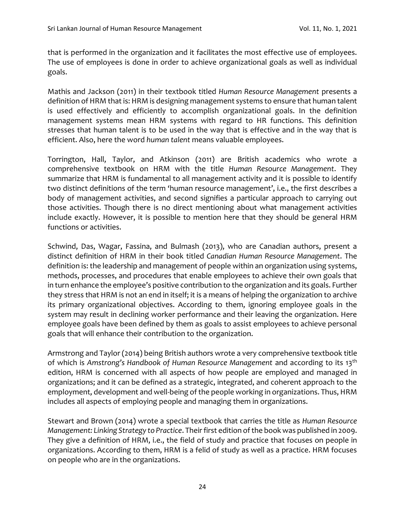that is performed in the organization and it facilitates the most effective use of employees. The use of employees is done in order to achieve organizational goals as well as individual goals.

Mathis and Jackson (2011) in their textbook titled *Human Resource Management* presents a definition of HRM that is: HRM is designing management systems to ensure that human talent is used effectively and efficiently to accomplish organizational goals. In the definition management systems mean HRM systems with regard to HR functions. This definition stresses that human talent is to be used in the way that is effective and in the way that is efficient. Also, here the word *human talent* means valuable employees.

Torrington, Hall, Taylor, and Atkinson (2011) are British academics who wrote a comprehensive textbook on HRM with the title *Human Resource Management*. They summarize that HRM is fundamental to all management activity and it is possible to identify two distinct definitions of the term 'human resource management', i.e., the first describes a body of management activities, and second signifies a particular approach to carrying out those activities. Though there is no direct mentioning about what management activities include exactly. However, it is possible to mention here that they should be general HRM functions or activities.

Schwind, Das, Wagar, Fassina, and Bulmash (2013), who are Canadian authors, present a distinct definition of HRM in their book titled *Canadian Human Resource Management*. The definition is: the leadership and management of people within an organization using systems, methods, processes, and procedures that enable employees to achieve their own goals that in turn enhance the employee's positive contribution to the organization and its goals. Further they stress that HRM is not an end in itself; it is a means of helping the organization to archive its primary organizational objectives. According to them, ignoring employee goals in the system may result in declining worker performance and their leaving the organization. Here employee goals have been defined by them as goals to assist employees to achieve personal goals that will enhance their contribution to the organization.

Armstrong and Taylor (2014) being British authors wrote a very comprehensive textbook title of which is *Amstrong's Handbook of Human Resource Management* and according to its 13th edition, HRM is concerned with all aspects of how people are employed and managed in organizations; and it can be defined as a strategic, integrated, and coherent approach to the employment, development and well-being of the people working in organizations. Thus, HRM includes all aspects of employing people and managing them in organizations.

Stewart and Brown (2014) wrote a special textbook that carries the title as *Human Resource Management: Linking Strategy to Practice*. Their first edition of the book was published in 2009. They give a definition of HRM, i.e., the field of study and practice that focuses on people in organizations. According to them, HRM is a felid of study as well as a practice. HRM focuses on people who are in the organizations.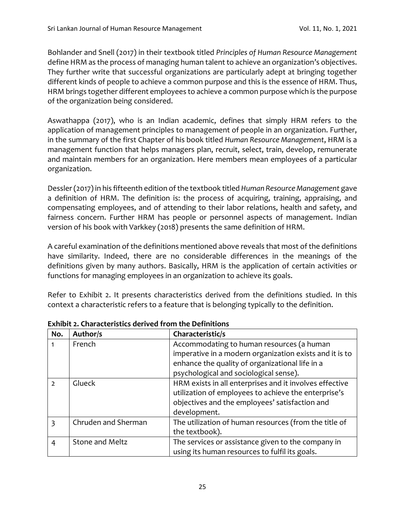Bohlander and Snell (2017) in their textbook titled *Principles of Human Resource Management* define HRM as the process of managing human talent to achieve an organization's objectives. They further write that successful organizations are particularly adept at bringing together different kinds of people to achieve a common purpose and this is the essence of HRM. Thus, HRM brings together different employees to achieve a common purpose which is the purpose of the organization being considered.

Aswathappa (2017), who is an Indian academic, defines that simply HRM refers to the application of management principles to management of people in an organization. Further, in the summary of the first Chapter of his book titled *Human Resource Management*, HRM is a management function that helps managers plan, recruit, select, train, develop, remunerate and maintain members for an organization. Here members mean employees of a particular organization.

Dessler (2017) in his fifteenth edition of the textbook titled *Human Resource Management* gave a definition of HRM. The definition is: the process of acquiring, training, appraising, and compensating employees, and of attending to their labor relations, health and safety, and fairness concern. Further HRM has people or personnel aspects of management. Indian version of his book with Varkkey (2018) presents the same definition of HRM.

A careful examination of the definitions mentioned above reveals that most of the definitions have similarity. Indeed, there are no considerable differences in the meanings of the definitions given by many authors. Basically, HRM is the application of certain activities or functions for managing employees in an organization to achieve its goals.

Refer to Exhibit 2. It presents characteristics derived from the definitions studied. In this context a characteristic refers to a feature that is belonging typically to the definition.

| No.           | Author/s               | Characteristic/s                                        |
|---------------|------------------------|---------------------------------------------------------|
|               | French                 | Accommodating to human resources (a human               |
|               |                        | imperative in a modern organization exists and it is to |
|               |                        | enhance the quality of organizational life in a         |
|               |                        | psychological and sociological sense).                  |
| $\mathcal{L}$ | Glueck                 | HRM exists in all enterprises and it involves effective |
|               |                        | utilization of employees to achieve the enterprise's    |
|               |                        | objectives and the employees' satisfaction and          |
|               |                        | development.                                            |
| $\mathbf{z}$  | Chruden and Sherman    | The utilization of human resources (from the title of   |
|               |                        | the textbook).                                          |
| 4             | <b>Stone and Meltz</b> | The services or assistance given to the company in      |
|               |                        | using its human resources to fulfil its goals.          |

**Exhibit 2. Characteristics derived from the Definitions**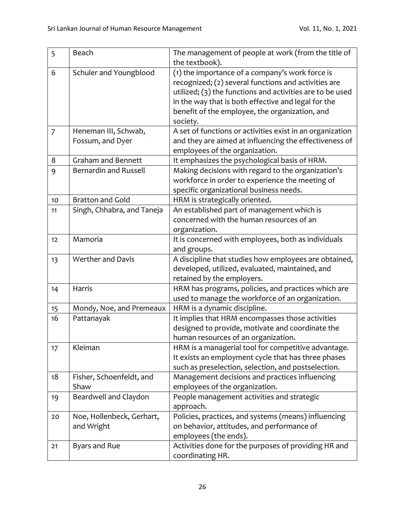| 5              | Beach                                    | The management of people at work (from the title of<br>the textbook).                                                                                                                                                                                                                     |
|----------------|------------------------------------------|-------------------------------------------------------------------------------------------------------------------------------------------------------------------------------------------------------------------------------------------------------------------------------------------|
| 6              | Schuler and Youngblood                   | (1) the importance of a company's work force is<br>recognized; (2) several functions and activities are<br>utilized; (3) the functions and activities are to be used<br>in the way that is both effective and legal for the<br>benefit of the employee, the organization, and<br>society. |
| $\overline{7}$ | Heneman III, Schwab,<br>Fossum, and Dyer | A set of functions or activities exist in an organization<br>and they are aimed at influencing the effectiveness of                                                                                                                                                                       |
|                |                                          | employees of the organization.                                                                                                                                                                                                                                                            |
| 8              | <b>Graham and Bennett</b>                | It emphasizes the psychological basis of HRM.                                                                                                                                                                                                                                             |
| 9              | <b>Bernardin and Russell</b>             | Making decisions with regard to the organization's<br>workforce in order to experience the meeting of<br>specific organizational business needs.                                                                                                                                          |
| 10             | <b>Bratton and Gold</b>                  | HRM is strategically oriented.                                                                                                                                                                                                                                                            |
| 11             | Singh, Chhabra, and Taneja               | An established part of management which is<br>concerned with the human resources of an<br>organization.                                                                                                                                                                                   |
| 12             | Mamoria                                  | It is concerned with employees, both as individuals<br>and groups.                                                                                                                                                                                                                        |
| 13             | Werther and Davis                        | A discipline that studies how employees are obtained,<br>developed, utilized, evaluated, maintained, and<br>retained by the employers.                                                                                                                                                    |
| 14             | Harris                                   | HRM has programs, policies, and practices which are<br>used to manage the workforce of an organization.                                                                                                                                                                                   |
| 15             | Mondy, Noe, and Premeaux                 | HRM is a dynamic discipline.                                                                                                                                                                                                                                                              |
| 16             | Pattanayak                               | It implies that HRM encompasses those activities<br>designed to provide, motivate and coordinate the<br>human resources of an organization.                                                                                                                                               |
| 17             | Kleiman                                  | HRM is a managerial tool for competitive advantage.<br>It exists an employment cycle that has three phases<br>such as preselection, selection, and postselection.                                                                                                                         |
| 18             | Fisher, Schoenfeldt, and<br>Shaw         | Management decisions and practices influencing<br>employees of the organization.                                                                                                                                                                                                          |
| 19             | Beardwell and Claydon                    | People management activities and strategic<br>approach.                                                                                                                                                                                                                                   |
| $20\,$         | Noe, Hollenbeck, Gerhart,<br>and Wright  | Policies, practices, and systems (means) influencing<br>on behavior, attitudes, and performance of<br>employees (the ends).                                                                                                                                                               |
| 21             | Byars and Rue                            | Activities done for the purposes of providing HR and<br>coordinating HR.                                                                                                                                                                                                                  |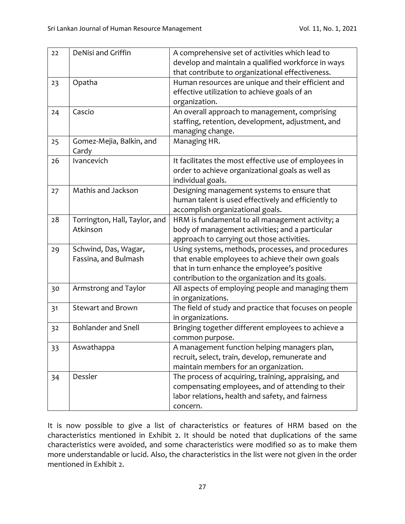| 22 | <b>DeNisi and Griffin</b>     | A comprehensive set of activities which lead to        |
|----|-------------------------------|--------------------------------------------------------|
|    |                               | develop and maintain a qualified workforce in ways     |
|    |                               | that contribute to organizational effectiveness.       |
| 23 | Opatha                        | Human resources are unique and their efficient and     |
|    |                               | effective utilization to achieve goals of an           |
|    |                               | organization.                                          |
| 24 | Cascio                        | An overall approach to management, comprising          |
|    |                               | staffing, retention, development, adjustment, and      |
|    |                               | managing change.                                       |
| 25 | Gomez-Mejia, Balkin, and      | Managing HR.                                           |
|    | Cardy                         |                                                        |
| 26 | Ivancevich                    | It facilitates the most effective use of employees in  |
|    |                               | order to achieve organizational goals as well as       |
|    |                               | individual goals.                                      |
| 27 | Mathis and Jackson            | Designing management systems to ensure that            |
|    |                               | human talent is used effectively and efficiently to    |
|    |                               | accomplish organizational goals.                       |
| 28 | Torrington, Hall, Taylor, and | HRM is fundamental to all management activity; a       |
|    | Atkinson                      | body of management activities; and a particular        |
|    |                               | approach to carrying out those activities.             |
| 29 | Schwind, Das, Wagar,          | Using systems, methods, processes, and procedures      |
|    | Fassina, and Bulmash          | that enable employees to achieve their own goals       |
|    |                               | that in turn enhance the employee's positive           |
|    |                               | contribution to the organization and its goals.        |
| 30 | Armstrong and Taylor          | All aspects of employing people and managing them      |
|    |                               | in organizations.                                      |
| 31 | <b>Stewart and Brown</b>      | The field of study and practice that focuses on people |
|    |                               | in organizations.                                      |
| 32 | <b>Bohlander and Snell</b>    | Bringing together different employees to achieve a     |
|    |                               | common purpose.                                        |
| 33 | Aswathappa                    | A management function helping managers plan,           |
|    |                               | recruit, select, train, develop, remunerate and        |
|    |                               | maintain members for an organization.                  |
| 34 | Dessler                       | The process of acquiring, training, appraising, and    |
|    |                               | compensating employees, and of attending to their      |
|    |                               | labor relations, health and safety, and fairness       |
|    |                               | concern.                                               |

It is now possible to give a list of characteristics or features of HRM based on the characteristics mentioned in Exhibit 2. It should be noted that duplications of the same characteristics were avoided, and some characteristics were modified so as to make them more understandable or lucid. Also, the characteristics in the list were not given in the order mentioned in Exhibit 2.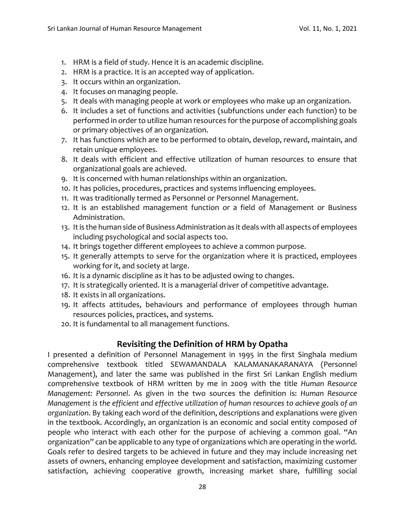- 1. HRM is a field of study. Hence it is an academic discipline.
- 2. HRM is a practice. It is an accepted way of application.
- 3. It occurs within an organization.
- 4. It focuses on managing people.
- 5. It deals with managing people at work or employees who make up an organization.
- 6. It includes a set of functions and activities (subfunctions under each function) to be performed in order to utilize human resources for the purpose of accomplishing goals or primary objectives of an organization.
- 7. It has functions which are to be performed to obtain, develop, reward, maintain, and retain unique employees.
- 8. It deals with efficient and effective utilization of human resources to ensure that organizational goals are achieved.
- 9. It is concerned with human relationships within an organization.
- 10. It has policies, procedures, practices and systems influencing employees.
- 11. It was traditionally termed as Personnel or Personnel Management.
- 12. It is an established management function or a field of Management or Business Administration.
- 13. It is the human side of Business Administration as it deals with all aspects of employees including psychological and social aspects too.
- 14. It brings together different employees to achieve a common purpose.
- 15. It generally attempts to serve for the organization where it is practiced, employees working for it, and society at large.
- 16. It is a dynamic discipline as it has to be adjusted owing to changes.
- 17. It is strategically oriented. It is a managerial driver of competitive advantage.
- 18. It exists in all organizations.
- 19. It affects attitudes, behaviours and performance of employees through human resources policies, practices, and systems.
- 20. It is fundamental to all management functions.

# **Revisiting the Definition of HRM by Opatha**

I presented a definition of Personnel Management in 1995 in the first Singhala medium comprehensive textbook titled SEWAMANDALA KALAMANAKARANAYA (Personnel Management), and later the same was published in the first Sri Lankan English medium comprehensive textbook of HRM written by me in 2009 with the title *Human Resource Management: Personnel*. As given in the two sources the definition is: *Human Resource Management is the efficient and effective utilization of human resources to achieve goals of an organization*. By taking each word of the definition, descriptions and explanations were given in the textbook. Accordingly, an organization is an economic and social entity composed of people who interact with each other for the purpose of achieving a common goal. "An organization" can be applicable to any type of organizations which are operating in the world. Goals refer to desired targets to be achieved in future and they may include increasing net assets of owners, enhancing employee development and satisfaction, maximizing customer satisfaction, achieving cooperative growth, increasing market share, fulfilling social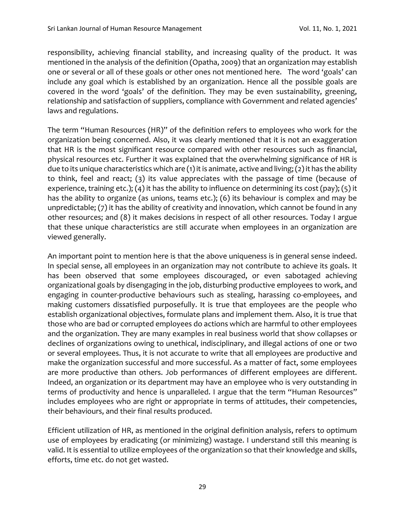responsibility, achieving financial stability, and increasing quality of the product. It was mentioned in the analysis of the definition (Opatha, 2009) that an organization may establish one or several or all of these goals or other ones not mentioned here. The word 'goals' can include any goal which is established by an organization. Hence all the possible goals are covered in the word 'goals' of the definition. They may be even sustainability, greening, relationship and satisfaction of suppliers, compliance with Government and related agencies' laws and regulations.

The term "Human Resources (HR)" of the definition refers to employees who work for the organization being concerned. Also, it was clearly mentioned that it is not an exaggeration that HR is the most significant resource compared with other resources such as financial, physical resources etc. Further it was explained that the overwhelming significance of HR is due to its unique characteristics which are (1) it is animate, active and living; (2) it has the ability to think, feel and react; (3) its value appreciates with the passage of time (because of experience, training etc.); (4) it has the ability to influence on determining its cost (pay); (5) it has the ability to organize (as unions, teams etc.); (6) its behaviour is complex and may be unpredictable; (7) it has the ability of creativity and innovation, which cannot be found in any other resources; and (8) it makes decisions in respect of all other resources. Today I argue that these unique characteristics are still accurate when employees in an organization are viewed generally.

An important point to mention here is that the above uniqueness is in general sense indeed. In special sense, all employees in an organization may not contribute to achieve its goals. It has been observed that some employees discouraged, or even sabotaged achieving organizational goals by disengaging in the job, disturbing productive employees to work, and engaging in counter-productive behaviours such as stealing, harassing co-employees, and making customers dissatisfied purposefully. It is true that employees are the people who establish organizational objectives, formulate plans and implement them. Also, it is true that those who are bad or corrupted employees do actions which are harmful to other employees and the organization. They are many examples in real business world that show collapses or declines of organizations owing to unethical, indisciplinary, and illegal actions of one or two or several employees. Thus, it is not accurate to write that all employees are productive and make the organization successful and more successful. As a matter of fact, some employees are more productive than others. Job performances of different employees are different. Indeed, an organization or its department may have an employee who is very outstanding in terms of productivity and hence is unparalleled. I argue that the term "Human Resources" includes employees who are right or appropriate in terms of attitudes, their competencies, their behaviours, and their final results produced.

Efficient utilization of HR, as mentioned in the original definition analysis, refers to optimum use of employees by eradicating (or minimizing) wastage. I understand still this meaning is valid. It is essential to utilize employees of the organization so that their knowledge and skills, efforts, time etc. do not get wasted.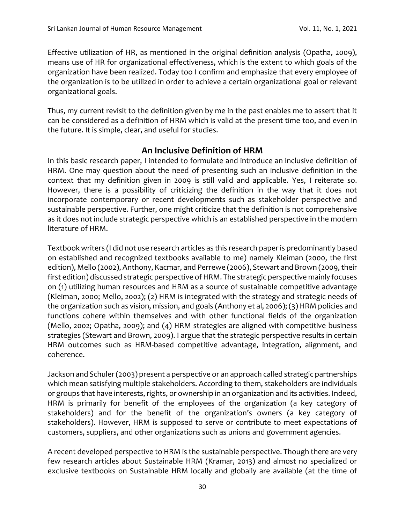Effective utilization of HR, as mentioned in the original definition analysis (Opatha, 2009), means use of HR for organizational effectiveness, which is the extent to which goals of the organization have been realized. Today too I confirm and emphasize that every employee of the organization is to be utilized in order to achieve a certain organizational goal or relevant organizational goals.

Thus, my current revisit to the definition given by me in the past enables me to assert that it can be considered as a definition of HRM which is valid at the present time too, and even in the future. It is simple, clear, and useful for studies.

# **An Inclusive Definition of HRM**

In this basic research paper, I intended to formulate and introduce an inclusive definition of HRM. One may question about the need of presenting such an inclusive definition in the context that my definition given in 2009 is still valid and applicable. Yes, I reiterate so. However, there is a possibility of criticizing the definition in the way that it does not incorporate contemporary or recent developments such as stakeholder perspective and sustainable perspective. Further, one might criticize that the definition is not comprehensive as it does not include strategic perspective which is an established perspective in the modern literature of HRM.

Textbook writers (I did not use research articles as this research paper is predominantly based on established and recognized textbooks available to me) namely Kleiman (2000, the first edition), Mello (2002), Anthony, Kacmar, and Perrewe (2006), Stewart and Brown (2009, their first edition) discussed strategic perspective of HRM. The strategic perspective mainly focuses on (1) utilizing human resources and HRM as a source of sustainable competitive advantage (Kleiman, 2000; Mello, 2002); (2) HRM is integrated with the strategy and strategic needs of the organization such as vision, mission, and goals (Anthony et al, 2006); (3) HRM policies and functions cohere within themselves and with other functional fields of the organization (Mello, 2002; Opatha, 2009); and (4) HRM strategies are aligned with competitive business strategies (Stewart and Brown, 2009). I argue that the strategic perspective results in certain HRM outcomes such as HRM-based competitive advantage, integration, alignment, and coherence.

Jackson and Schuler (2003) present a perspective or an approach called strategic partnerships which mean satisfying multiple stakeholders. According to them, stakeholders are individuals or groups that have interests, rights, or ownership in an organization and its activities. Indeed, HRM is primarily for benefit of the employees of the organization (a key category of stakeholders) and for the benefit of the organization's owners (a key category of stakeholders). However, HRM is supposed to serve or contribute to meet expectations of customers, suppliers, and other organizations such as unions and government agencies.

A recent developed perspective to HRM is the sustainable perspective. Though there are very few research articles about Sustainable HRM (Kramar, 2013) and almost no specialized or exclusive textbooks on Sustainable HRM locally and globally are available (at the time of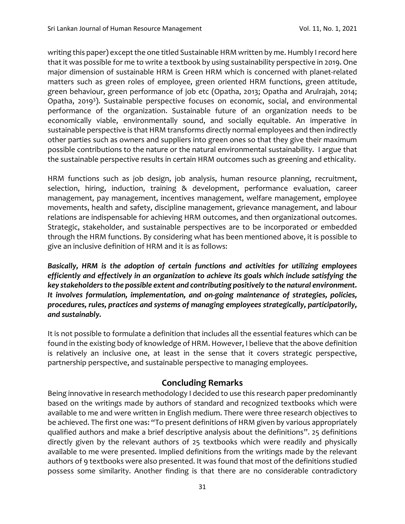writing this paper) except the one titled Sustainable HRM written by me. Humbly I record here that it was possible for me to write a textbook by using sustainability perspective in 2019. One major dimension of sustainable HRM is Green HRM which is concerned with planet-related matters such as green roles of employee, green oriented HRM functions, green attitude, green behaviour, green performance of job etc (Opatha, 2013; Opatha and Arulrajah, 2014; Opatha, 2019<sup>3</sup>). Sustainable perspective focuses on economic, social, and environmental performance of the organization. Sustainable future of an organization needs to be economically viable, environmentally sound, and socially equitable. An imperative in sustainable perspective is that HRM transforms directly normal employees and then indirectly other parties such as owners and suppliers into green ones so that they give their maximum possible contributions to the nature or the natural environmental sustainability. I argue that the sustainable perspective results in certain HRM outcomes such as greening and ethicality.

HRM functions such as job design, job analysis, human resource planning, recruitment, selection, hiring, induction, training & development, performance evaluation, career management, pay management, incentives management, welfare management, employee movements, health and safety, discipline management, grievance management, and labour relations are indispensable for achieving HRM outcomes, and then organizational outcomes. Strategic, stakeholder, and sustainable perspectives are to be incorporated or embedded through the HRM functions. By considering what has been mentioned above, it is possible to give an inclusive definition of HRM and it is as follows:

*Basically, HRM is the adoption of certain functions and activities for utilizing employees efficiently and effectively in an organization to achieve its goals which include satisfying the key stakeholders to the possible extent and contributing positively to the natural environment. It involves formulation, implementation, and on-going maintenance of strategies, policies, procedures, rules, practices and systems of managing employees strategically, participatorily, and sustainably.* 

It is not possible to formulate a definition that includes all the essential features which can be found in the existing body of knowledge of HRM. However, I believe that the above definition is relatively an inclusive one, at least in the sense that it covers strategic perspective, partnership perspective, and sustainable perspective to managing employees.

## **Concluding Remarks**

Being innovative in research methodology I decided to use this research paper predominantly based on the writings made by authors of standard and recognized textbooks which were available to me and were written in English medium. There were three research objectives to be achieved. The first one was: "To present definitions of HRM given by various appropriately qualified authors and make a brief descriptive analysis about the definitions". 25 definitions directly given by the relevant authors of 25 textbooks which were readily and physically available to me were presented. Implied definitions from the writings made by the relevant authors of 9 textbooks were also presented. It was found that most of the definitions studied possess some similarity. Another finding is that there are no considerable contradictory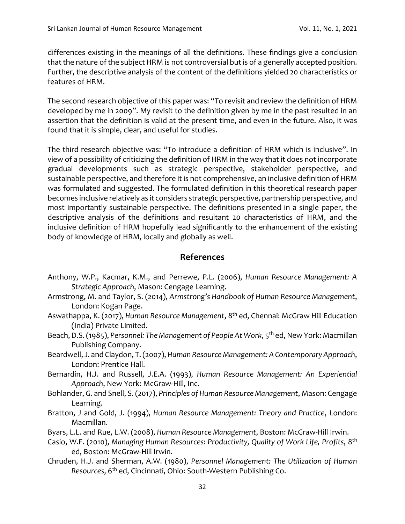differences existing in the meanings of all the definitions. These findings give a conclusion that the nature of the subject HRM is not controversial but is of a generally accepted position. Further, the descriptive analysis of the content of the definitions yielded 20 characteristics or features of HRM.

The second research objective of this paper was: "To revisit and review the definition of HRM developed by me in 2009". My revisit to the definition given by me in the past resulted in an assertion that the definition is valid at the present time, and even in the future. Also, it was found that it is simple, clear, and useful for studies.

The third research objective was: "To introduce a definition of HRM which is inclusive". In view of a possibility of criticizing the definition of HRM in the way that it does not incorporate gradual developments such as strategic perspective, stakeholder perspective, and sustainable perspective, and therefore it is not comprehensive, an inclusive definition of HRM was formulated and suggested. The formulated definition in this theoretical research paper becomes inclusive relatively as it considers strategic perspective, partnership perspective, and most importantly sustainable perspective. The definitions presented in a single paper, the descriptive analysis of the definitions and resultant 20 characteristics of HRM, and the inclusive definition of HRM hopefully lead significantly to the enhancement of the existing body of knowledge of HRM, locally and globally as well.

#### **References**

- Anthony, W.P., Kacmar, K.M., and Perrewe, P.L. (2006), *Human Resource Management: A Strategic Approach*, Mason: Cengage Learning.
- Armstrong, M. and Taylor, S. (2014), *Armstrong's Handbook of Human Resource Management*, London: Kogan Page.
- Aswathappa, K. (2017), *Human Resource Management*, 8th ed, Chennai: McGraw Hill Education (India) Private Limited.
- Beach, D.S. (1985), *Personnel: The Management of People At Work*, 5th ed, New York: Macmillan Publishing Company.
- Beardwell, J. and Claydon, T. (2007), *Human Resource Management: A Contemporary Approach*, London: Prentice Hall.
- Bernardin, H.J. and Russell, J.E.A. (1993), *Human Resource Management: An Experiential Approach*, New York: McGraw-Hill, Inc.
- Bohlander, G. and Snell, S. (2017), *Principles of Human Resource Management*, Mason: Cengage Learning.
- Bratton, J and Gold, J. (1994), *Human Resource Management: Theory and Practice*, London: Macmillan.
- Byars, L.L. and Rue, L.W. (2008), *Human Resource Management*, Boston: McGraw-Hill Irwin.
- Casio, W.F. (2010), *Managing Human Resources: Productivity, Quality of Work Life, Profits*, 8 th ed, Boston: McGraw-Hill Irwin.
- Chruden, H.J. and Sherman, A.W. (1980), *Personnel Management: The Utilization of Human Resources*, 6th ed, Cincinnati, Ohio: South-Western Publishing Co.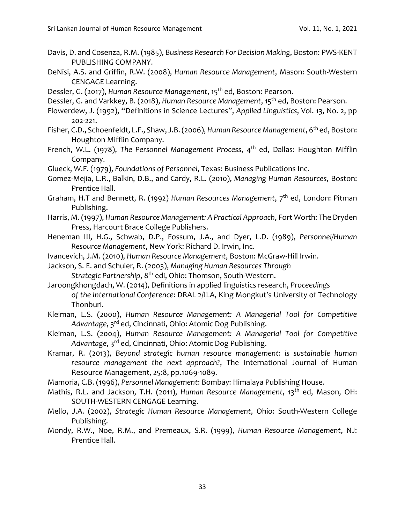- Davis, D. and Cosenza, R.M. (1985), *Business Research For Decision Making*, Boston: PWS-KENT PUBLISHING COMPANY.
- DeNisi, A.S. and Griffin, R.W. (2008), *Human Resource Management*, Mason: South-Western CENGAGE Learning.
- Dessler, G. (2017), *Human Resource Management*, 15th ed, Boston: Pearson.
- Dessler, G. and Varkkey, B. (2018), *Human Resource Management*, 15th ed, Boston: Pearson.
- Flowerdew, J. (1992), "Definitions in Science Lectures", *Applied Linguistics*, Vol. 13, No. 2, pp 202-221.
- Fisher, C.D., Schoenfeldt, L.F., Shaw, J.B. (2006), *Human Resource Management*, 6th ed, Boston: Houghton Mifflin Company.
- French, W.L. (1978), *The Personnel Management Process*, 4<sup>th</sup> ed, Dallas: Houghton Mifflin Company.
- Glueck, W.F. (1979), *Foundations of Personnel*, Texas: Business Publications Inc.
- Gomez-Mejia, L.R., Balkin, D.B., and Cardy, R.L. (2010), *Managing Human Resources*, Boston: Prentice Hall.
- Graham, H.T and Bennett, R. (1992) *Human Resources Management*, 7<sup>th</sup> ed, London: Pitman Publishing.
- Harris, M. (1997), *Human Resource Management: A Practical Approach*, Fort Worth: The Dryden Press, Harcourt Brace College Publishers.
- Heneman III, H.G., Schwab, D.P., Fossum, J.A., and Dyer, L.D. (1989), *Personnel/Human Resource Management*, New York: Richard D. Irwin, Inc.
- Ivancevich, J.M. (2010), *Human Resource Management*, Boston: McGraw-Hill Irwin.
- Jackson, S. E. and Schuler, R. (2003), *Managing Human Resources Through Strategic Partnership*, 8th edi, Ohio: Thomson, South-Western.
- Jaroongkhongdach, W. (2014), Definitions in applied linguistics research, *Proceedings of the International Conference*: DRAL 2/ILA, King Mongkut's University of Technology Thonburi.
- Kleiman, L.S. (2000), *Human Resource Management: A Managerial Tool for Competitive Advantage*, 3rd ed, Cincinnati, Ohio: Atomic Dog Publishing.
- Kleiman, L.S. (2004), *Human Resource Management: A Managerial Tool for Competitive Advantage*, 3rd ed, Cincinnati, Ohio: Atomic Dog Publishing.
- Kramar, R. (2013), *Beyond strategic human resource management: is sustainable human resource management the next approach?*, The International Journal of Human Resource Management, 25:8, pp.1069-1089.
- Mamoria, C.B. (1996), *Personnel Management*: Bombay: Himalaya Publishing House.
- Mathis, R.L. and Jackson, T.H. (2011), *Human Resource Management*, 13th ed, Mason, OH: SOUTH-WESTERN CENGAGE Learning.
- Mello, J.A. (2002), *Strategic Human Resource Management*, Ohio: South-Western College Publishing.
- Mondy, R.W., Noe, R.M., and Premeaux, S.R. (1999), *Human Resource Management*, NJ: Prentice Hall.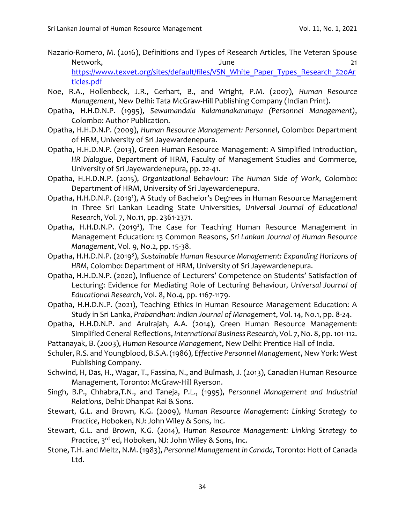- Nazario-Romero, M. (2016), Definitions and Types of Research Articles, The Veteran Spouse Network, 21 [https://www.texvet.org/sites/default/files/VSN\\_White\\_Paper\\_Types\\_Research\\_%20Ar](https://www.texvet.org/sites/default/files/VSN_White_Paper_Types_Research_%20Articles.pdf) [ticles.pdf](https://www.texvet.org/sites/default/files/VSN_White_Paper_Types_Research_%20Articles.pdf)
- Noe, R.A., Hollenbeck, J.R., Gerhart, B., and Wright, P.M. (2007), *Human Resource Management*, New Delhi: Tata McGraw-Hill Publishing Company (Indian Print).
- Opatha, H.H.D.N.P. (1995), *Sewamandala Kalamanakaranaya (Personnel Management)*, Colombo: Author Publication.
- Opatha, H.H.D.N.P. (2009), *Human Resource Management: Personnel*, Colombo: Department of HRM, University of Sri Jayewardenepura.
- Opatha, H.H.D.N.P. (2013), Green Human Resource Management: A Simplified Introduction, *HR Dialogue*, Department of HRM, Faculty of Management Studies and Commerce, University of Sri Jayewardenepura, pp. 22-41.
- Opatha, H.H.D.N.P. (2015), *Organizational Behaviour: The Human Side of Work*, Colombo: Department of HRM, University of Sri Jayewardenepura.
- Opatha, H.H.D.N.P. (2019<sup>1</sup>), A Study of Bachelor's Degrees in Human Resource Management in Three Sri Lankan Leading State Universities, *Universal Journal of Educational Research*, Vol. 7, No.11, pp. 2361-2371.
- Opatha, H.H.D.N.P. (2019<sup>2</sup>), The Case for Teaching Human Resource Management in Management Education: 13 Common Reasons, *Sri Lankan Journal of Human Resource Management*, Vol. 9, No.2, pp. 15-38.
- Opatha, H.H.D.N.P. (2019<sup>3</sup>), Sustainable Human Resource Management: Expanding Horizons of *HRM*, Colombo: Department of HRM, University of Sri Jayewardenepura.
- Opatha, H.H.D.N.P. (2020), Influence of Lecturers' Competence on Students' Satisfaction of Lecturing: Evidence for Mediating Role of Lecturing Behaviour, *Universal Journal of Educational Research*, Vol. 8, No.4, pp. 1167-1179.
- Opatha, H.H.D.N.P. (2021), Teaching Ethics in Human Resource Management Education: A Study in Sri Lanka, *Prabandhan: Indian Journal of Management*, Vol. 14, No.1, pp. 8-24.
- Opatha, H.H.D.N.P. and Arulrajah, A.A. (2014), Green Human Resource Management: Simplified General Reflections, *International Business Research*, Vol. 7, No. 8, pp. 101-112.
- Pattanayak, B. (2003), *Human Resource Management*, New Delhi: Prentice Hall of India.
- Schuler, R.S. and Youngblood, B.S.A. (1986), *Effective Personnel Management*, New York: West Publishing Company.
- Schwind, H, Das, H., Wagar, T., Fassina, N., and Bulmash, J. (2013), Canadian Human Resource Management, Toronto: McGraw-Hill Ryerson.
- Singh, B.P., Chhabra,T.N., and Taneja, P.L., (1995), *Personnel Management and Industrial Relations*, Delhi: Dhanpat Rai & Sons.
- Stewart, G.L. and Brown, K.G. (2009), *Human Resource Management: Linking Strategy to Practice*, Hoboken, NJ: John Wiley & Sons, Inc.
- Stewart, G.L. and Brown, K.G. (2014), *Human Resource Management: Linking Strategy to Practice*, 3rd ed, Hoboken, NJ: John Wiley & Sons, Inc.
- Stone, T.H. and Meltz, N.M. (1983), *Personnel Management in Canada,* Toronto: Hott of Canada Ltd.